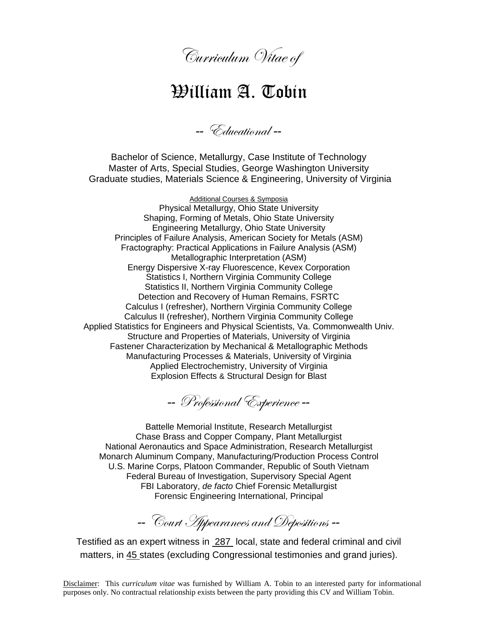

## William A. Tobin

-- Educational --

Bachelor of Science, Metallurgy, Case Institute of Technology Master of Arts, Special Studies, George Washington University Graduate studies, Materials Science & Engineering, University of Virginia

Additional Courses & Symposia Physical Metallurgy, Ohio State University Shaping, Forming of Metals, Ohio State University Engineering Metallurgy, Ohio State University Principles of Failure Analysis, American Society for Metals (ASM) Fractography: Practical Applications in Failure Analysis (ASM) Metallographic Interpretation (ASM) Energy Dispersive X-ray Fluorescence, Kevex Corporation Statistics I, Northern Virginia Community College Statistics II, Northern Virginia Community College Detection and Recovery of Human Remains, FSRTC Calculus I (refresher), Northern Virginia Community College Calculus II (refresher), Northern Virginia Community College Applied Statistics for Engineers and Physical Scientists, Va. Commonwealth Univ. Structure and Properties of Materials, University of Virginia Fastener Characterization by Mechanical & Metallographic Methods Manufacturing Processes & Materials, University of Virginia Applied Electrochemistry, University of Virginia Explosion Effects & Structural Design for Blast

-- Professional Experience --

Battelle Memorial Institute, Research Metallurgist Chase Brass and Copper Company, Plant Metallurgist National Aeronautics and Space Administration, Research Metallurgist Monarch Aluminum Company, Manufacturing/Production Process Control U.S. Marine Corps, Platoon Commander, Republic of South Vietnam Federal Bureau of Investigation, Supervisory Special Agent FBI Laboratory, *de facto* Chief Forensic Metallurgist Forensic Engineering International, Principal

-- Court Appearances and Depositions --

Testified as an expert witness in 287 local, state and federal criminal and civil matters, in 45 states (excluding Congressional testimonies and grand juries).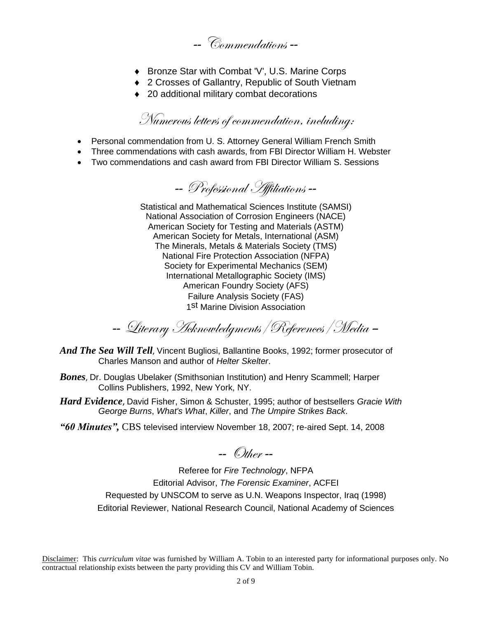-- Commendations --

- ◆ Bronze Star with Combat 'V', U.S. Marine Corps
- ◆ 2 Crosses of Gallantry, Republic of South Vietnam
- ◆ 20 additional military combat decorations

## Numerous letters of commendation, including:

- Personal commendation from U. S. Attorney General William French Smith
- Three commendations with cash awards, from FBI Director William H. Webster
- Two commendations and cash award from FBI Director William S. Sessions

-- Professional Affiliations --

Statistical and Mathematical Sciences Institute (SAMSI) National Association of Corrosion Engineers (NACE) American Society for Testing and Materials (ASTM) American Society for Metals, International (ASM) The Minerals, Metals & Materials Society (TMS) National Fire Protection Association (NFPA) Society for Experimental Mechanics (SEM) International Metallographic Society (IMS) American Foundry Society (AFS) Failure Analysis Society (FAS) 1<sup>st</sup> Marine Division Association

-- Literary Acknowledgments/References/Media –

- *And The Sea Will Tell*, Vincent Bugliosi, Ballantine Books, 1992; former prosecutor of Charles Manson and author of *Helter Skelter*.
- *Bones*, Dr. Douglas Ubelaker (Smithsonian Institution) and Henry Scammell; Harper Collins Publishers, 1992, New York, NY.
- *Hard Evidence*, David Fisher, Simon & Schuster, 1995; author of bestsellers *Gracie With George Burns*, *What's What*, *Killer*, and *The Umpire Strikes Back*.
- *"60 Minutes",* CBS televised interview November 18, 2007; re-aired Sept. 14, 2008

 $\blacksquare$  Other  $\blacksquare$ 

Referee for *Fire Technology*, NFPA Editorial Advisor, *The Forensic Examiner*, ACFEI Requested by UNSCOM to serve as U.N. Weapons Inspector, Iraq (1998) Editorial Reviewer, National Research Council, National Academy of Sciences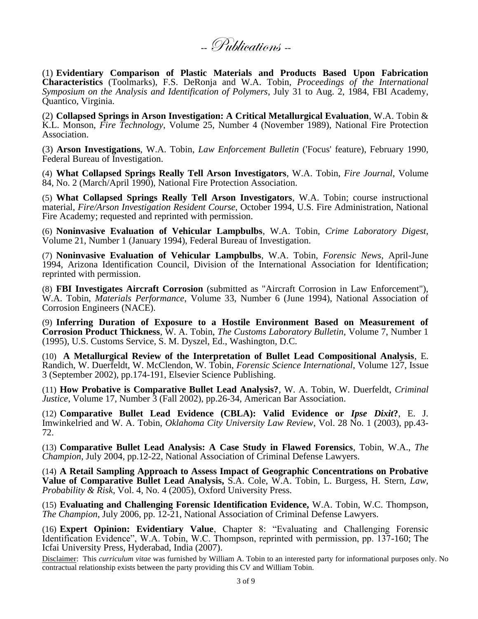--Publications --

(1) **Evidentiary Comparison of Plastic Materials and Products Based Upon Fabrication Characteristics** (Toolmarks), F.S. DeRonja and W.A. Tobin, *Proceedings of the International Symposium on the Analysis and Identification of Polymers*, July 31 to Aug. 2, 1984, FBI Academy, Quantico, Virginia.

(2) **Collapsed Springs in Arson Investigation: A Critical Metallurgical Evaluation**, W.A. Tobin & K.L. Monson, *Fire Technology*, Volume 25, Number 4 (November 1989), National Fire Protection Association.

(3) **Arson Investigations**, W.A. Tobin, *Law Enforcement Bulletin* ('Focus' feature), February 1990, Federal Bureau of Investigation.

(4) **What Collapsed Springs Really Tell Arson Investigators**, W.A. Tobin, *Fire Journal*, Volume 84, No. 2 (March/April 1990), National Fire Protection Association.

(5) **What Collapsed Springs Really Tell Arson Investigators**, W.A. Tobin; course instructional material, *Fire/Arson Investigation Resident Course*, October 1994, U.S. Fire Administration, National Fire Academy; requested and reprinted with permission.

(6) **Noninvasive Evaluation of Vehicular Lampbulbs**, W.A. Tobin, *Crime Laboratory Digest*, Volume 21, Number 1 (January 1994), Federal Bureau of Investigation.

(7) **Noninvasive Evaluation of Vehicular Lampbulbs**, W.A. Tobin, *Forensic News*, April-June 1994, Arizona Identification Council, Division of the International Association for Identification; reprinted with permission.

(8) **FBI Investigates Aircraft Corrosion** (submitted as "Aircraft Corrosion in Law Enforcement"), W.A. Tobin, *Materials Performance*, Volume 33, Number 6 (June 1994), National Association of Corrosion Engineers (NACE).

(9) **Inferring Duration of Exposure to a Hostile Environment Based on Measurement of Corrosion Product Thickness**, W. A. Tobin, *The Customs Laboratory Bulletin*, Volume 7, Number 1 (1995), U.S. Customs Service, S. M. Dyszel, Ed., Washington, D.C.

(10) **A Metallurgical Review of the Interpretation of Bullet Lead Compositional Analysis**, E. Randich, W. Duerfeldt, W. McClendon, W. Tobin, *Forensic Science International*, Volume 127, Issue 3 (September 2002), pp.174-191, Elsevier Science Publishing.

(11) **How Probative is Comparative Bullet Lead Analysis?**, W. A. Tobin, W. Duerfeldt, *Criminal Justice*, Volume 17, Number 3 (Fall 2002), pp.26-34, American Bar Association.

(12) **Comparative Bullet Lead Evidence (CBLA): Valid Evidence or** *Ipse Dixit***?**, E. J. Imwinkelried and W. A. Tobin, *Oklahoma City University Law Review*, Vol. 28 No. 1 (2003), pp.43- 72.

(13) **Comparative Bullet Lead Analysis: A Case Study in Flawed Forensics**, Tobin, W.A., *The Champion*, July 2004, pp.12-22, National Association of Criminal Defense Lawyers.

(14) **A Retail Sampling Approach to Assess Impact of Geographic Concentrations on Probative Value of Comparative Bullet Lead Analysis,** S.A. Cole, W.A. Tobin, L. Burgess, H. Stern, *Law, Probability & Risk*, Vol. 4, No. 4 (2005), Oxford University Press.

(15) **Evaluating and Challenging Forensic Identification Evidence,** W.A. Tobin, W.C. Thompson, *The Champion*, July 2006, pp. 12-21, National Association of Criminal Defense Lawyers.

(16) **Expert Opinion: Evidentiary Value**, Chapter 8: "Evaluating and Challenging Forensic Identification Evidence", W.A. Tobin, W.C. Thompson, reprinted with permission, pp. 137-160; The Icfai University Press, Hyderabad, India (2007).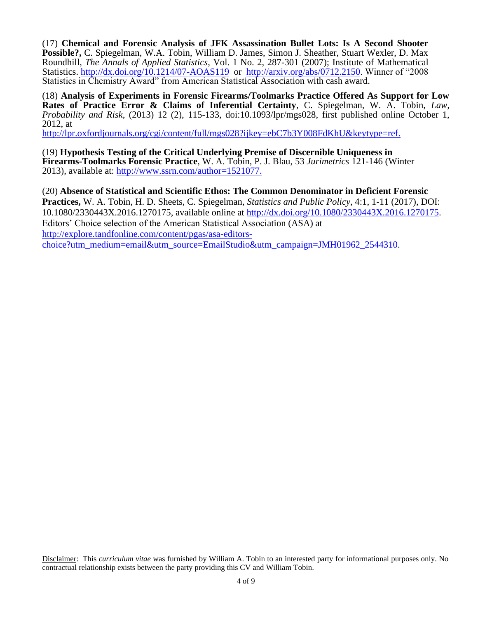(17) **Chemical and Forensic Analysis of JFK Assassination Bullet Lots: Is A Second Shooter Possible?,** C. Spiegelman, W.A. Tobin, William D. James, Simon J. Sheather, Stuart Wexler, D. Max Roundhill, *The Annals of Applied Statistics*, Vol. 1 No. 2, 287-301 (2007); Institute of Mathematical Statistics.<http://dx.doi.org/10.1214/07-AOAS119>or [http://arxiv.org/abs/0712.2150.](http://arxiv.org/abs/0712.2150) Winner of "2008 Statistics in Chemistry Award" from American Statistical Association with cash award.

(18) **Analysis of Experiments in Forensic Firearms/Toolmarks Practice Offered As Support for Low Rates of Practice Error & Claims of Inferential Certainty**, C. Spiegelman, W. A. Tobin, *Law, Probability and Risk*, (2013) 12 (2), 115-133, doi:10.1093/lpr/mgs028, first published online October 1, 2012, at

[http://lpr.oxfordjournals.org/cgi/content/full/mgs028?ijkey=ebC7b3Y008FdKhU&keytype=ref.](http://lpr.oxfordjournals.org/cgi/content/full/mgs028?ijkey=ebC7b3Y008FdKhU&keytype=ref)

(19) **Hypothesis Testing of the Critical Underlying Premise of Discernible Uniqueness in Firearms-Toolmarks Forensic Practice**, W. A. Tobin, P. J. Blau, 53 *Jurimetrics* 121-146 (Winter 2013), available at: [http://www.ssrn.com/author=1521077.](http://www.ssrn.com/author=1521077)

(20) **Absence of Statistical and Scientific Ethos: The Common Denominator in Deficient Forensic Practices,** W. A. Tobin, H. D. Sheets, C. Spiegelman, *Statistics and Public Policy*, 4:1, 1-11 (2017), DOI: 10.1080/2330443X.2016.1270175, available online at [http://dx.doi.org/10.1080/2330443X.2016.1270175.](http://dx.doi.org/10.1080/2330443X.2016.1270175) Editors' Choice selection of the American Statistical Association (ASA) at [http://explore.tandfonline.com/content/pgas/asa-editors](http://explore.tandfonline.com/content/pgas/asa-editors-choice?utm_medium=email&utm_source=EmailStudio&utm_campaign=JMH01962_2544310)[choice?utm\\_medium=email&utm\\_source=EmailStudio&utm\\_campaign=JMH01962\\_2544310.](http://explore.tandfonline.com/content/pgas/asa-editors-choice?utm_medium=email&utm_source=EmailStudio&utm_campaign=JMH01962_2544310)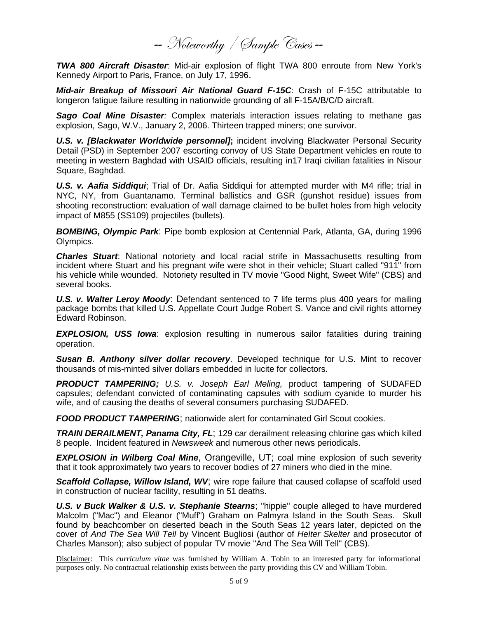-- Noteworthy / Sample Cases --

*TWA 800 Aircraft Disaster*: Mid-air explosion of flight TWA 800 enroute from New York's Kennedy Airport to Paris, France, on July 17, 1996.

*Mid-air Breakup of Missouri Air National Guard F-15C*: Crash of F-15C attributable to longeron fatigue failure resulting in nationwide grounding of all F-15A/B/C/D aircraft.

*Sago Coal Mine Disaster:* Complex materials interaction issues relating to methane gas explosion, Sago, W.V., January 2, 2006. Thirteen trapped miners; one survivor.

*U.S. v. [Blackwater Worldwide personnel]***;** incident involving Blackwater [Personal Security](http://en.wikipedia.org/wiki/Personal_Security_Detail)  [Detail](http://en.wikipedia.org/wiki/Personal_Security_Detail) (PSD) in September 2007 escorting convoy of [US State Department](http://en.wikipedia.org/wiki/US_State_Department) vehicles en route to meeting in [western Baghdad](http://en.wikipedia.org/w/index.php?title=Western_Baghdad&action=edit&redlink=1) with [USAID o](http://en.wikipedia.org/wiki/United_States_Agency_for_International_Development)fficials, resulting in17 Iraqi civilian fatalities in [Nisour](http://en.wikipedia.org/w/index.php?title=Nisour_Square&action=edit&redlink=1)  [Square,](http://en.wikipedia.org/w/index.php?title=Nisour_Square&action=edit&redlink=1) [Baghdad.](http://en.wikipedia.org/wiki/Baghdad)

*U.S. v. Aafia Siddiqui*; Trial of Dr. Aafia Siddiqui for attempted murder with M4 rifle; trial in NYC, NY, from Guantanamo. Terminal ballistics and GSR (gunshot residue) issues from shooting reconstruction: evaluation of wall damage claimed to be bullet holes from high velocity impact of M855 (SS109) projectiles (bullets).

*BOMBING, Olympic Park*: Pipe bomb explosion at Centennial Park, Atlanta, GA, during 1996 Olympics.

*Charles Stuart*: National notoriety and local racial strife in Massachusetts resulting from incident where Stuart and his pregnant wife were shot in their vehicle; Stuart called "911" from his vehicle while wounded. Notoriety resulted in TV movie "Good Night, Sweet Wife" (CBS) and several books.

*U.S. v. Walter Leroy Moody*: Defendant sentenced to 7 life terms plus 400 years for mailing package bombs that killed U.S. Appellate Court Judge Robert S. Vance and civil rights attorney Edward Robinson.

*EXPLOSION, USS Iowa*: explosion resulting in numerous sailor fatalities during training operation.

*Susan B. Anthony silver dollar recovery*. Developed technique for U.S. Mint to recover thousands of mis-minted silver dollars embedded in lucite for collectors.

*PRODUCT TAMPERING; U.S. v. Joseph Earl Meling,* product tampering of SUDAFED capsules; defendant convicted of contaminating capsules with sodium cyanide to murder his wife, and of causing the deaths of several consumers purchasing SUDAFED.

**FOOD PRODUCT TAMPERING:** nationwide alert for contaminated Girl Scout cookies.

*TRAIN DERAILMENT, Panama City, FL*; 129 car derailment releasing chlorine gas which killed 8 people. Incident featured in *Newsweek* and numerous other news periodicals.

*EXPLOSION in Wilberg Coal Mine*, Orangeville, UT; coal mine explosion of such severity that it took approximately two years to recover bodies of 27 miners who died in the mine.

*Scaffold Collapse, Willow Island, WV*; wire rope failure that caused collapse of scaffold used in construction of nuclear facility, resulting in 51 deaths.

*U.S. v Buck Walker & U.S. v. Stephanie Stearns*; "hippie" couple alleged to have murdered Malcolm ("Mac") and Eleanor ("Muff") Graham on Palmyra Island in the South Seas. Skull found by beachcomber on deserted beach in the South Seas 12 years later, depicted on the cover of *And The Sea Will Tell* by Vincent Bugliosi (author of *Helter Skelter* and prosecutor of Charles Manson); also subject of popular TV movie "And The Sea Will Tell" (CBS).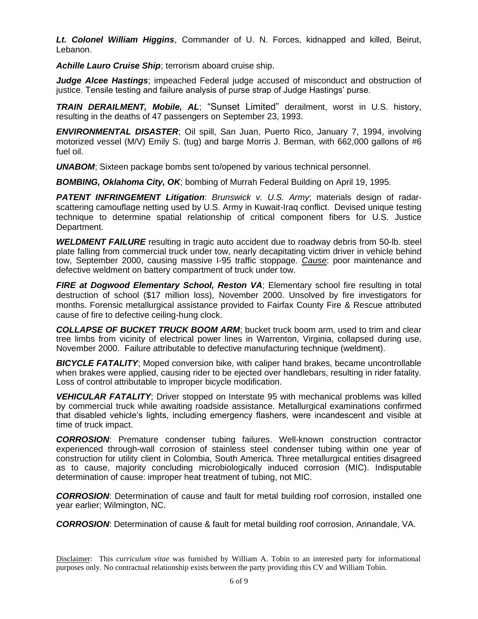*Lt. Colonel William Higgins*, Commander of U. N. Forces, kidnapped and killed, Beirut, Lebanon.

*Achille Lauro Cruise Ship*; terrorism aboard cruise ship.

*Judge Alcee Hastings*; impeached Federal judge accused of misconduct and obstruction of justice. Tensile testing and failure analysis of purse strap of Judge Hastings' purse.

*TRAIN DERAILMENT, Mobile, AL*; "Sunset Limited" derailment, worst in U.S. history, resulting in the deaths of 47 passengers on September 23, 1993.

*ENVIRONMENTAL DISASTER*; Oil spill, San Juan, Puerto Rico, January 7, 1994, involving motorized vessel (M/V) Emily S. (tug) and barge Morris J. Berman, with 662,000 gallons of #6 fuel oil.

*UNABOM*; Sixteen package bombs sent to/opened by various technical personnel.

*BOMBING, Oklahoma City, OK*; bombing of Murrah Federal Building on April 19, 1995.

*PATENT INFRINGEMENT Litigation*: *Brunswick v. U.S. Army*; materials design of radarscattering camouflage netting used by U.S. Army in Kuwait-Iraq conflict. Devised unique testing technique to determine spatial relationship of critical component fibers for U.S. Justice Department.

*WELDMENT FAILURE* resulting in tragic auto accident due to roadway debris from 50-lb. steel plate falling from commercial truck under tow, nearly decapitating victim driver in vehicle behind tow, September 2000, causing massive I-95 traffic stoppage. *Cause*: poor maintenance and defective weldment on battery compartment of truck under tow.

*FIRE at Dogwood Elementary School, Reston VA*; Elementary school fire resulting in total destruction of school (\$17 million loss), November 2000. Unsolved by fire investigators for months. Forensic metallurgical assistance provided to Fairfax County Fire & Rescue attributed cause of fire to defective ceiling-hung clock.

*COLLAPSE OF BUCKET TRUCK BOOM ARM*; bucket truck boom arm, used to trim and clear tree limbs from vicinity of electrical power lines in Warrenton, Virginia, collapsed during use, November 2000. Failure attributable to defective manufacturing technique (weldment).

*BICYCLE FATALITY*; Moped conversion bike, with caliper hand brakes, became uncontrollable when brakes were applied, causing rider to be ejected over handlebars, resulting in rider fatality. Loss of control attributable to improper bicycle modification.

*VEHICULAR FATALITY*; Driver stopped on Interstate 95 with mechanical problems was killed by commercial truck while awaiting roadside assistance. Metallurgical examinations confirmed that disabled vehicle's lights, including emergency flashers, were incandescent and visible at time of truck impact.

*CORROSION*: Premature condenser tubing failures. Well-known construction contractor experienced through-wall corrosion of stainless steel condenser tubing within one year of construction for utility client in Colombia, South America. Three metallurgical entities disagreed as to cause, majority concluding microbiologically induced corrosion (MIC). Indisputable determination of cause: improper heat treatment of tubing, not MIC.

*CORROSION*: Determination of cause and fault for metal building roof corrosion, installed one year earlier; Wilmington, NC.

*CORROSION*: Determination of cause & fault for metal building roof corrosion, Annandale, VA.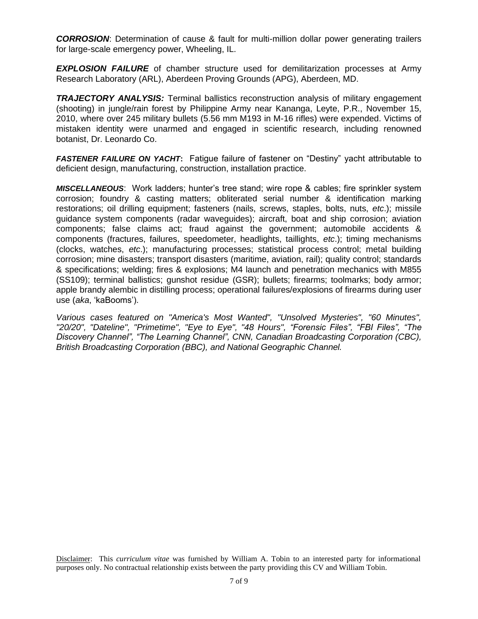**CORROSION:** Determination of cause & fault for multi-million dollar power generating trailers for large-scale emergency power, Wheeling, IL.

**EXPLOSION FAILURE** of chamber structure used for demilitarization processes at Army Research Laboratory (ARL), Aberdeen Proving Grounds (APG), Aberdeen, MD.

**TRAJECTORY ANALYSIS:** Terminal ballistics reconstruction analysis of military engagement (shooting) in jungle/rain forest by Philippine Army near Kananga, Leyte, P.R., November 15, 2010, where over 245 military bullets (5.56 mm M193 in M-16 rifles) were expended. Victims of mistaken identity were unarmed and engaged in scientific research, including renowned botanist, Dr. Leonardo Co.

*FASTENER FAILURE ON YACHT***:** Fatigue failure of fastener on "Destiny" yacht attributable to deficient design, manufacturing, construction, installation practice.

*MISCELLANEOUS*: Work ladders; hunter's tree stand; wire rope & cables; fire sprinkler system corrosion; foundry & casting matters; obliterated serial number & identification marking restorations; oil drilling equipment; fasteners (nails, screws, staples, bolts, nuts, *etc*.); missile guidance system components (radar waveguides); aircraft, boat and ship corrosion; aviation components; false claims act; fraud against the government; automobile accidents & components (fractures, failures, speedometer, headlights, taillights, *etc*.); timing mechanisms (clocks, watches, *etc*.); manufacturing processes; statistical process control; metal building corrosion; mine disasters; transport disasters (maritime, aviation, rail); quality control; standards & specifications; welding; fires & explosions; M4 launch and penetration mechanics with M855 (SS109); terminal ballistics; gunshot residue (GSR); bullets; firearms; toolmarks; body armor; apple brandy alembic in distilling process; operational failures/explosions of firearms during user use (*aka*, 'kaBooms').

*Various cases featured on "America's Most Wanted", "Unsolved Mysteries", "60 Minutes", "20/20", "Dateline", "Primetime", "Eye to Eye", "48 Hours", "Forensic Files", "FBI Files", "The Discovery Channel", "The Learning Channel", CNN, Canadian Broadcasting Corporation (CBC), British Broadcasting Corporation (BBC), and National Geographic Channel.*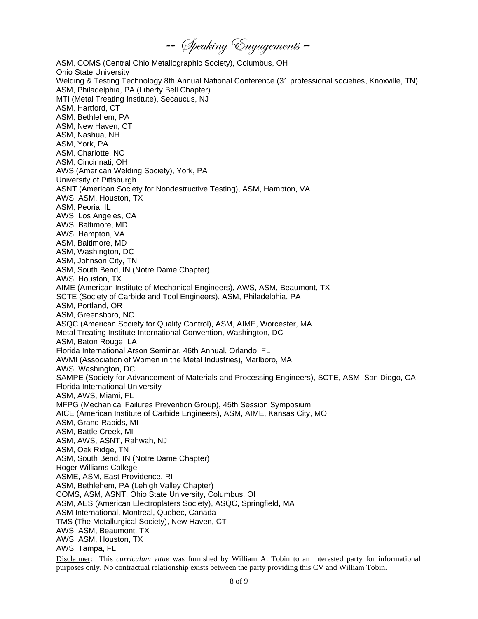-- Speaking Engagements –

ASM, COMS (Central Ohio Metallographic Society), Columbus, OH Ohio State University Welding & Testing Technology 8th Annual National Conference (31 professional societies, Knoxville, TN) ASM, Philadelphia, PA (Liberty Bell Chapter) MTI (Metal Treating Institute), Secaucus, NJ ASM, Hartford, CT ASM, Bethlehem, PA ASM, New Haven, CT ASM, Nashua, NH ASM, York, PA ASM, Charlotte, NC ASM, Cincinnati, OH AWS (American Welding Society), York, PA University of Pittsburgh ASNT (American Society for Nondestructive Testing), ASM, Hampton, VA AWS, ASM, Houston, TX ASM, Peoria, IL AWS, Los Angeles, CA AWS, Baltimore, MD AWS, Hampton, VA ASM, Baltimore, MD ASM, Washington, DC ASM, Johnson City, TN ASM, South Bend, IN (Notre Dame Chapter) AWS, Houston, TX AIME (American Institute of Mechanical Engineers), AWS, ASM, Beaumont, TX SCTE (Society of Carbide and Tool Engineers), ASM, Philadelphia, PA ASM, Portland, OR ASM, Greensboro, NC ASQC (American Society for Quality Control), ASM, AIME, Worcester, MA Metal Treating Institute International Convention, Washington, DC ASM, Baton Rouge, LA Florida International Arson Seminar, 46th Annual, Orlando, FL AWMI (Association of Women in the Metal Industries), Marlboro, MA AWS, Washington, DC SAMPE (Society for Advancement of Materials and Processing Engineers), SCTE, ASM, San Diego, CA Florida International University ASM, AWS, Miami, FL MFPG (Mechanical Failures Prevention Group), 45th Session Symposium AICE (American Institute of Carbide Engineers), ASM, AIME, Kansas City, MO ASM, Grand Rapids, MI ASM, Battle Creek, MI ASM, AWS, ASNT, Rahwah, NJ ASM, Oak Ridge, TN ASM, South Bend, IN (Notre Dame Chapter) Roger Williams College ASME, ASM, East Providence, RI ASM, Bethlehem, PA (Lehigh Valley Chapter) COMS, ASM, ASNT, Ohio State University, Columbus, OH ASM, AES (American Electroplaters Society), ASQC, Springfield, MA ASM International, Montreal, Quebec, Canada TMS (The Metallurgical Society), New Haven, CT AWS, ASM, Beaumont, TX AWS, ASM, Houston, TX AWS, Tampa, FL